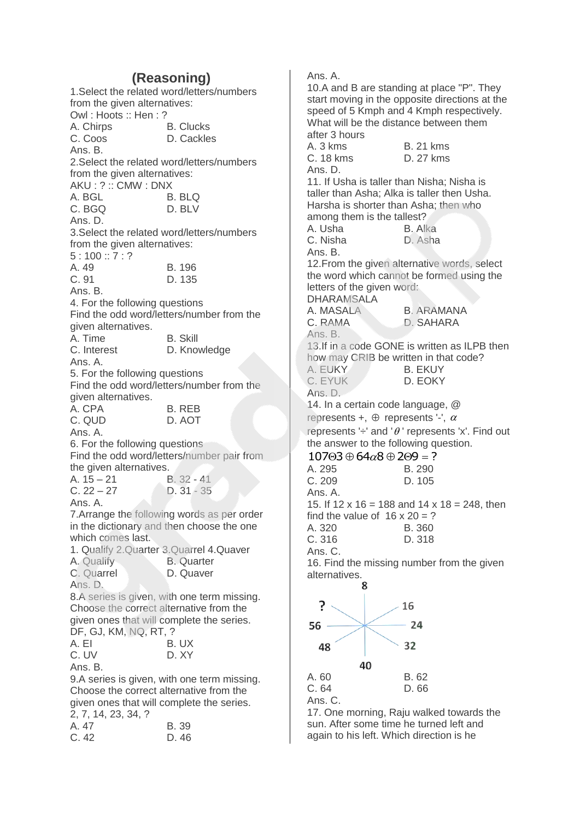# **(Reasoning)**

1.Select the related word/letters/numbers from the given alternatives: Owl : Hoots :: Hen : ? A. Chirps B. Clucks C. Coos D. Cackles Ans. B. 2.Select the related word/letters/numbers from the given alternatives: AKU : ? :: CMW : DNX A. BGL C. BGQ D. BLV Ans. D. 3.Select the related word/letters/numbers from the given alternatives:  $5:100::7:?$ A. 49 B. 196 C. 91 D. 135 Ans. B. 4. For the following questions Find the odd word/letters/number from the given alternatives. A. Time B. Skill C. Interest D. Knowledge Ans. A. 5. For the following questions Find the odd word/letters/number from the given alternatives. A. CPA B. REB C. QUD D. AOT Ans. A. 6. For the following questions Find the odd word/letters/number pair from the given alternatives. A. 15 – 21 B. 32 - 41<br>C. 22 – 27 D. 31 - 35  $D. 31 - 35$ Ans. A. 7.Arrange the following words as per order in the dictionary and then choose the one which comes last. 1. Qualify 2.Quarter 3.Quarrel 4.Quaver A. Qualify **B. Quarter** C. Quarrel D. Quaver Ans. D. 8.A series is given, with one term missing. Choose the correct alternative from the given ones that will complete the series. DF, GJ, KM, NQ, RT, ? A. EI B. UX C. UV D. XY Ans. B. 9.A series is given, with one term missing. Choose the correct alternative from the given ones that will complete the series. 2, 7, 14, 23, 34, ? A. 47 B. 39 C. 42 D. 46

Ans. A. 10.A and B are standing at place "P". They start moving in the opposite directions at the speed of 5 Kmph and 4 Kmph respectively. What will be the distance between them after 3 hours A. 3 kms B. 21 kms C. 18 kms D. 27 kms Ans. D. 11. If Usha is taller than Nisha; Nisha is taller than Asha; Alka is taller then Usha. Harsha is shorter than Asha; then who among them is the tallest? A. Usha B. Alka C. Nisha D. Asha Ans. B. 12.From the given alternative words, select the word which cannot be formed using the letters of the given word: DHARAMSALA A. MASALA B. ARAMANA C. RAMA D. SAHARA Ans. B. 13.If in a code GONE is written as ILPB then how may CRIB be written in that code? A. EUKY B. EKUY C. EYUK D. EOKY Ans. D. 14. In a certain code language, @ represents +,  $\oplus$  represents '-',  $\alpha$ represents ' $\div$ ' and ' $\theta$ ' represents 'x'. Find out the answer to the following question.  $10703 \oplus 64 \alpha 8 \oplus 209 = ?$ <br>A. 295 B. 290  $A. 295.$ C. 209 D. 105 Ans. A. 15. If 12 x 16 = 188 and 14 x 18 = 248, then find the value of  $16 \times 20 = ?$ A. 320 B. 360 C. 316 D. 318 Ans. C. 16. Find the missing number from the given alternatives. Я  $\mathbf{P}$ 16 24



17. One morning, Raju walked towards the sun. After some time he turned left and again to his left. Which direction is he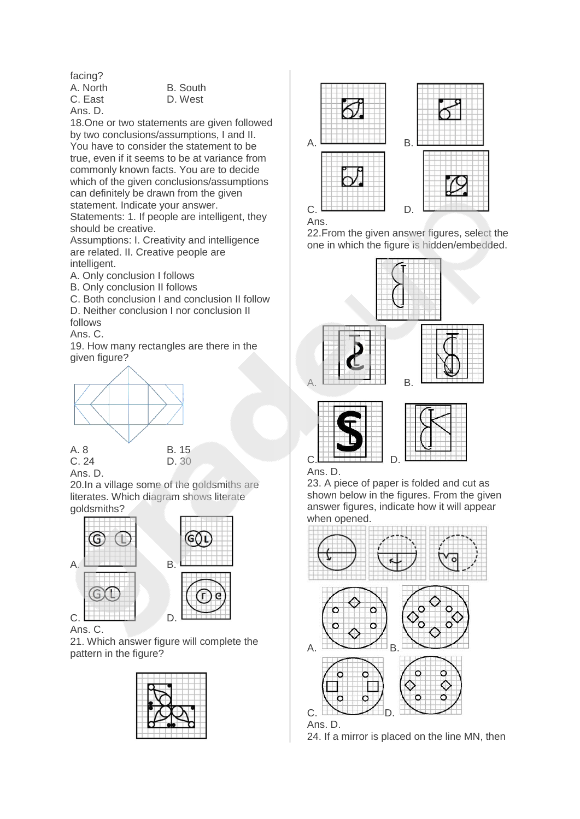facing?

A. North B. South Ans. D.

C. East D. West

18.One or two statements are given followed by two conclusions/assumptions, I and II. You have to consider the statement to be true, even if it seems to be at variance from commonly known facts. You are to decide which of the given conclusions/assumptions can definitely be drawn from the given statement. Indicate your answer.

Statements: 1. If people are intelligent, they should be creative.

Assumptions: I. Creativity and intelligence are related. II. Creative people are intelligent.

A. Only conclusion I follows

B. Only conclusion II follows

C. Both conclusion I and conclusion II follow D. Neither conclusion I nor conclusion II follows

Ans. C.

19. How many rectangles are there in the given figure?



C. 24 D. 30



Ans. D.

20.In a village some of the goldsmiths are literates. Which diagram shows literate goldsmiths?



#### Ans. C.

21. Which answer figure will complete the pattern in the figure?





22.From the given answer figures, select the one in which the figure is hidden/embedded.







Ans. D.

23. A piece of paper is folded and cut as shown below in the figures. From the given answer figures, indicate how it will appear when opened.



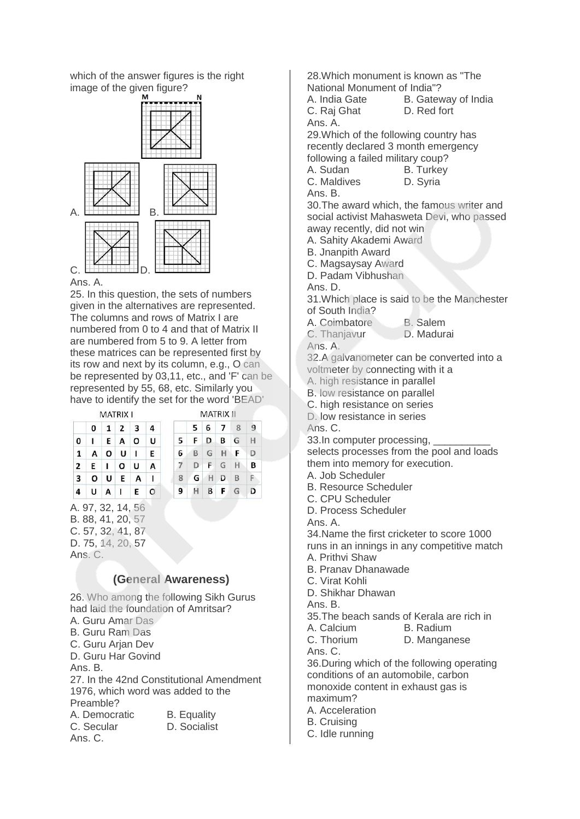which of the answer figures is the right image of the given figure?



#### Ans. A.

25. In this question, the sets of numbers given in the alternatives are represented. The columns and rows of Matrix I are numbered from 0 to 4 and that of Matrix II are numbered from 5 to 9. A letter from these matrices can be represented first by its row and next by its column, e.g., O can be represented by 03,11, etc., and 'F' can be represented by 55, 68, etc. Similarly you have to identify the set for the word 'BEAD' **MATRIX II** 

|                         | 0 | 1 | $\overline{2}$ | 3 | 4 |
|-------------------------|---|---|----------------|---|---|
| 0                       | ı | E | A              | O | Ù |
| 1                       | A | o | U              | п | E |
| $\overline{2}$          | E | 1 | О              | U | A |
| $\overline{\mathbf{3}}$ | O | U | E              | A | ı |
| 4                       | U | A | $\mathbf{I}$   | E | о |

5 6 7 8 9 F D B G H 5 6 BGHF  $\mathsf D$  $\overline{7}$  $D$  $F$  G H B 8 GHDB F 9  $H$   $B$   $F$   $G$ D

A. 97, 32, 14, 5 B. 88, 41, 20, 57 C. 57, 32, 41, 87 D. 75, 14, 20, 57 Ans. C.

## **(General Awareness)**

26. Who among the following Sikh Gurus had laid the foundation of Amritsar?

- A. Guru Amar Das B. Guru Ram Das
- C. Guru Arian Dev

D. Guru Har Govind

Ans. B.

27. In the 42nd Constitutional Amendment 1976, which word was added to the Preamble? A. Democratic B. Equality

C. Secular D. Socialist Ans. C.

28.Which monument is known as "The National Monument of India"?

A. India Gate B. Gateway of India

C. Raj Ghat D. Red fort

29.Which of the following country has recently declared 3 month emergency following a failed military coup?

- A. Sudan B. Turkey
- C. Maldives D. Syria

Ans. B.

Ans. A.

30.The award which, the famous writer and social activist Mahasweta Devi, who passed away recently, did not win

A. Sahity Akademi Award

B. Jnanpith Award

- C. Magsaysay Award
- D. Padam Vibhushan
- Ans. D.

31.Which place is said to be the Manchester of South India?

A. Coimbatore B. Salem

C. Thanjavur D. Madurai

Ans. A.

32.A galvanometer can be converted into a voltmeter by connecting with it a

A. high resistance in parallel

- B. low resistance on parallel
- C. high resistance on series

D. low resistance in series

Ans. C.

33.In computer processing,

selects processes from the pool and loads them into memory for execution.

A. Job Scheduler

B. Resource Scheduler

C. CPU Scheduler

D. Process Scheduler

Ans. A.

34.Name the first cricketer to score 1000

runs in an innings in any competitive match A. Prithvi Shaw

B. Pranav Dhanawade

C. Virat Kohli

D. Shikhar Dhawan

Ans. B.

35.The beach sands of Kerala are rich in

A. Calcium B. Radium

C. Thorium D. Manganese

Ans. C.

36.During which of the following operating conditions of an automobile, carbon monoxide content in exhaust gas is maximum?

A. Acceleration

B. Cruising

C. Idle running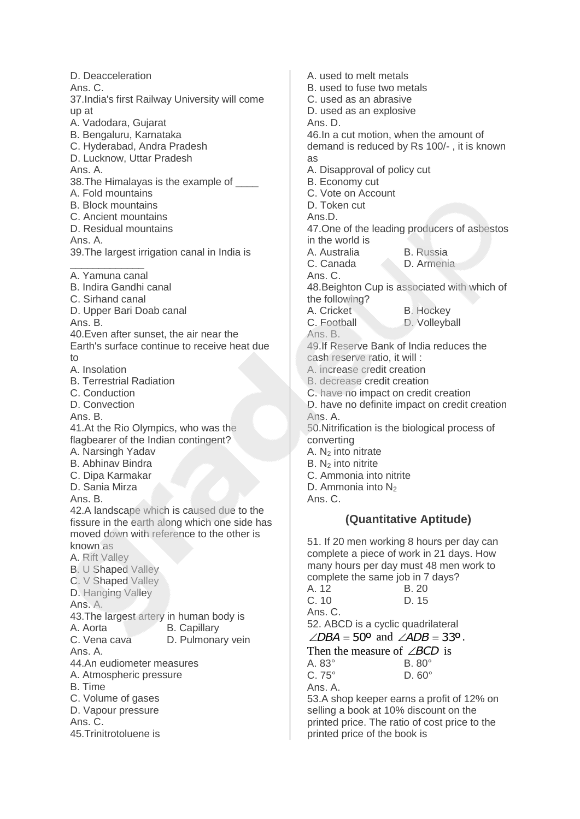D. Deacceleration Ans. C. 37.India's first Railway University will come up at A. Vadodara, Gujarat B. Bengaluru, Karnataka C. Hyderabad, Andra Pradesh D. Lucknow, Uttar Pradesh Ans. A. 38. The Himalayas is the example of \_\_\_\_\_ A. Fold mountains B. Block mountains C. Ancient mountains D. Residual mountains Ans. A. 39.The largest irrigation canal in India is \_\_\_\_\_\_\_\_\_\_\_\_\_ A. Yamuna canal B. Indira Gandhi canal C. Sirhand canal D. Upper Bari Doab canal Ans. B. 40.Even after sunset, the air near the Earth's surface continue to receive heat due  $t<sub>0</sub>$ A. Insolation B. Terrestrial Radiation C. Conduction D. Convection Ans. B. 41.At the Rio Olympics, who was the flagbearer of the Indian contingent? A. Narsingh Yadav B. Abhinav Bindra C. Dipa Karmakar D. Sania Mirza Ans. B. 42.A landscape which is caused due to the fissure in the earth along which one side has moved down with reference to the other is known as A. Rift Valley B. U Shaped Valley C. V Shaped Valley D. Hanging Valley Ans. A. 43.The largest artery in human body is A. Aorta **B. Capillary** C. Vena cava D. Pulmonary vein Ans. A. 44.An eudiometer measures A. Atmospheric pressure B. Time C. Volume of gases D. Vapour pressure Ans. C. 45.Trinitrotoluene is

A. used to melt metals B. used to fuse two metals C. used as an abrasive D. used as an explosive Ans. D. 46.In a cut motion, when the amount of demand is reduced by Rs 100/- , it is known as A. Disapproval of policy cut B. Economy cut C. Vote on Account D. Token cut Ans.D. 47.One of the leading producers of asbestos in the world is A. Australia B. Russia C. Canada D. Armenia Ans. C. 48.Beighton Cup is associated with which of the following? A. Cricket B. Hockey C. Football D. Volleyball Ans. B. 49.If Reserve Bank of India reduces the cash reserve ratio, it will : A. increase credit creation B. decrease credit creation C. have no impact on credit creation D. have no definite impact on credit creation Ans. A. 50.Nitrification is the biological process of converting A. N<sup>2</sup> into nitrate  $B. N<sub>2</sub>$  into nitrite C. Ammonia into nitrite D. Ammonia into  $N_2$ Ans. C. **(Quantitative Aptitude)** 51. If 20 men working 8 hours per day can complete a piece of work in 21 days. How many hours per day must 48 men work to

complete the same job in 7 days? A. 12 B. 20 C. 10 D. 15 Ans. C. 52. ABCD is a cyclic quadrilateral  $\angle$ *DBA* = 50° and  $\angle$ *ADB* = 33°. Then the measure of  $\angle BCD$  is A. 83° B. 80° C. 75° D. 60° Ans. A.

53.A shop keeper earns a profit of 12% on selling a book at 10% discount on the printed price. The ratio of cost price to the printed price of the book is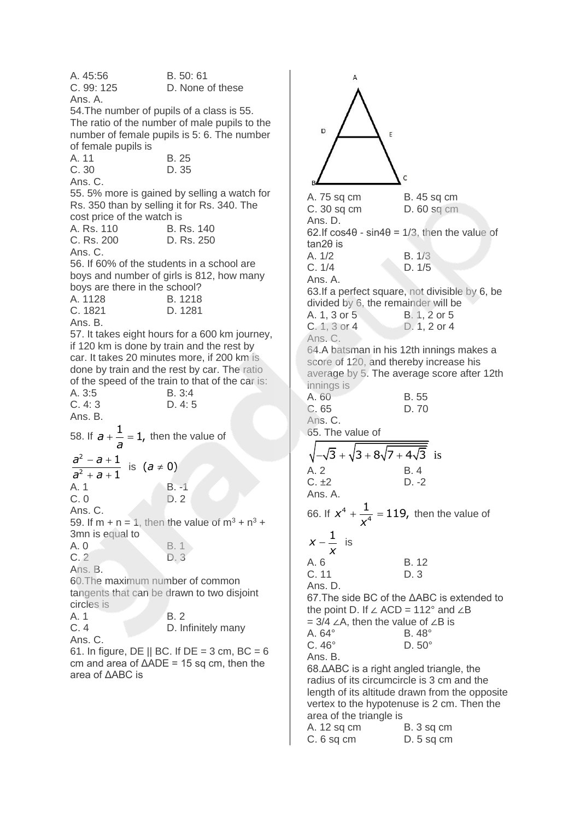A. 45:56 B. 50: 61 C. 99: 125 D. None of these Ans. A. 54.The number of pupils of a class is 55. The ratio of the number of male pupils to the number of female pupils is 5: 6. The number of female pupils is A. 11 B. 25 C. 30 D. 35 Ans. C. 55. 5% more is gained by selling a watch for Rs. 350 than by selling it for Rs. 340. The cost price of the watch is A. Rs. 110 B. Rs. 140 C. Rs. 200 D. Rs. 250 Ans. C. 56. If 60% of the students in a school are boys and number of girls is 812, how many boys are there in the school? A. 1128 B. 1218 C. 1821 D. 1281 Ans. B. 57. It takes eight hours for a 600 km journey, if 120 km is done by train and the rest by car. It takes 20 minutes more, if 200 km is done by train and the rest by car. The ratio of the speed of the train to that of the car is: A. 3:5 B. 3:4 C. 4: 3 D. 4: 5 Ans. B. 58. If  $a + \frac{1}{a} = 1$ , *a*  $t - 1$ , then the value of 2 2 1 1 *a a a a*  $- a +$  $+ a +$ is  $(a \neq 0)$ A. 1 B. -1 C. 0 D. 2 Ans. C. 59. If m + n = 1, then the value of  $m^3 + n^3 +$ 3mn is equal to A. 0 B. 1 C. 2 D. 3 Ans. B. 60.The maximum number of common tangents that can be drawn to two disjoint circles is A. 1 B. 2<br>C. 4 D. In D. Infinitely many Ans. C. 61. In figure, DE  $||$  BC. If DE = 3 cm, BC = 6 cm and area of  $\triangle ADE = 15$  sq cm, then the area of ΔABC is

 $\Delta$ D E A. 75 sq cm B. 45 sq cm C. 30 sq cm D. 60 sq cm Ans. D. 62.If  $cos4\theta - sin4\theta = 1/3$ , then the value of tan2θ is A. 1/2 B. 1/3 C. 1/4 D. 1/5 Ans. A. 63.If a perfect square, not divisible by 6, be divided by 6, the remainder will be A. 1, 3 or 5 B. 1, 2 or 5 C. 1, 3 or 4 D. 1, 2 or 4 Ans. C. 64.A batsman in his 12th innings makes a score of 120, and thereby increase his average by 5. The average score after 12th innings is A. 60 B. 55 C. 65 D. 70 Ans. C. 65. The value of  $-\sqrt{3} + \sqrt{3 + 8\sqrt{7 + 4\sqrt{3}}}$  is A. 2 B. 4  $C. \pm 2$  D. -2 Ans. A.  $x^4 + \frac{1}{4} = 119,$ 66. If  $x^4$  $t+\frac{1}{4}$  = 119, then the value of 4 *x*  $x - \frac{1}{x}$  $-\dot{=}$  is *x* A. 6 B. 12 C. 11 D. 3 Ans. D. 67.The side BC of the ΔABC is extended to the point D. If ∠ ACD = 112° and ∠B = 3/4 ∠A, then the value of ∠B is A. 64° B. 48° C. 46° D. 50° Ans. B. 68.ΔABC is a right angled triangle, the radius of its circumcircle is 3 cm and the length of its altitude drawn from the opposite vertex to the hypotenuse is 2 cm. Then the area of the triangle is A. 12 sq cm B. 3 sq cm C. 6 sq cm D. 5 sq cm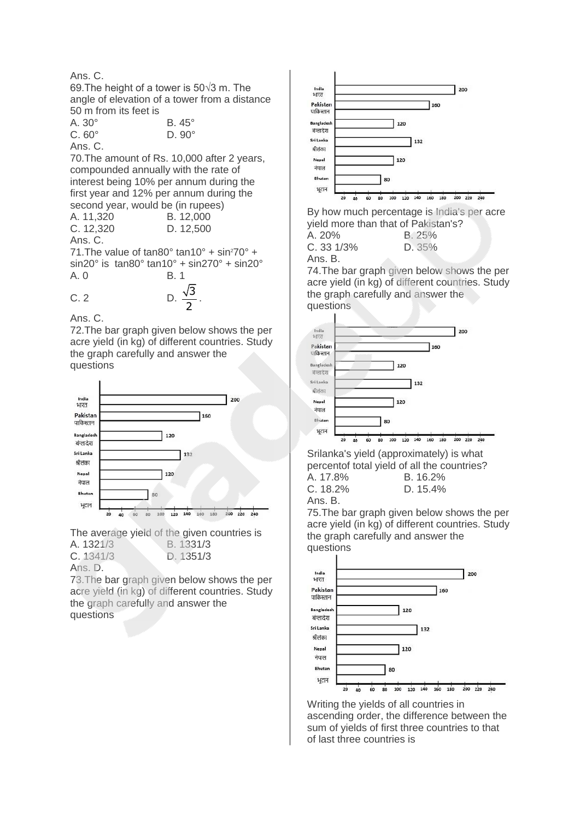### Ans. C. 69.The height of a tower is 50√3 m. The angle of elevation of a tower from a distance 50 m from its feet is A. 30° B. 45°<br>C. 60° D. 90°

| $C.60^\circ$ | $D.90^\circ$ |
|--------------|--------------|
| Ans. C.      |              |

70.The amount of Rs. 10,000 after 2 years, compounded annually with the rate of interest being 10% per annum during the first year and 12% per annum during the second year, would be (in rupees)

| A. 11,320 | B. 12,000                                                   |
|-----------|-------------------------------------------------------------|
| C. 12,320 | D. 12,500                                                   |
| Ans. C.   |                                                             |
|           | $71$ The value of tan20 <sup>0</sup> tan10 <sup>0</sup> + c |

71. The value of  $tan 80^\circ$   $tan 10^\circ$  +  $sin^2 70^\circ$  + sin20° is tan80° tan10° + sin270° + sin20° A. 0 B. 1

C. 2 D. 
$$
\frac{\sqrt{3}}{2}
$$

Ans. C.

72.The bar graph given below shows the per acre yield (in kg) of different countries. Study the graph carefully and answer the questions

2 .



The average yield of the given countries is A. 1321/3 B. 1331/3 C. 1341/3 D. 1351/3



73.The bar graph given below shows the per acre yield (in kg) of different countries. Study the graph carefully and answer the questions



By how much percentage is India's per acre yield more than that of Pakistan's?

| A. 20%   | B.25%  |
|----------|--------|
| C.331/3% | D. 35% |
| Ans. B.  |        |

74.The bar graph given below shows the per acre yield (in kg) of different countries. Study the graph carefully and answer the questions



Srilanka's yield (approximately) is what percentof total yield of all the countries? A. 17.8% B. 16.2% C. 18.2% D. 15.4%

Ans. B.

75.The bar graph given below shows the per acre yield (in kg) of different countries. Study the graph carefully and answer the questions



Writing the yields of all countries in ascending order, the difference between the sum of yields of first three countries to that of last three countries is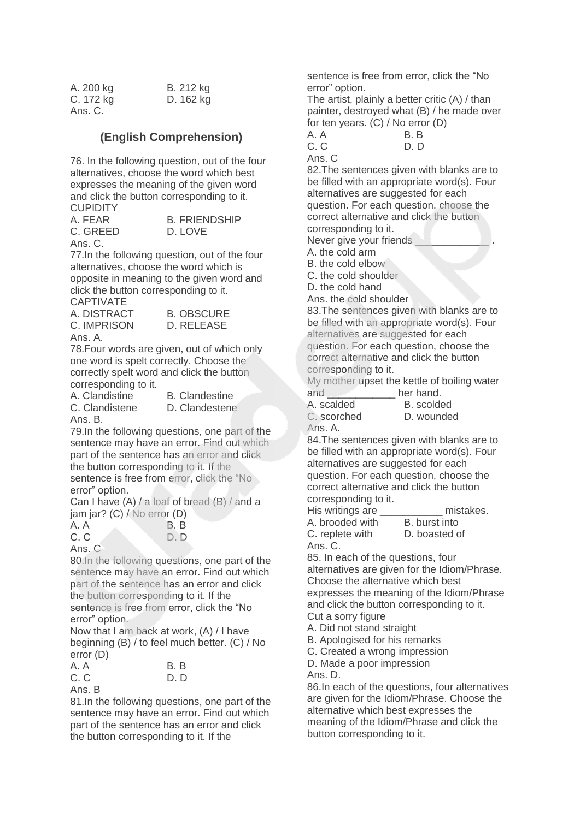| A. 200 kg | B. 212 kg |
|-----------|-----------|
| C. 172 kg | D. 162 kg |
| Ans. C.   |           |

### **(English Comprehension)**

76. In the following question, out of the four alternatives, choose the word which best expresses the meaning of the given word and click the button corresponding to it. **CUPIDITY** 

| -----    |
|----------|
| A. FEAR  |
| C. GREED |

**B. FRIENDSHIP** D. LOVE

Ans. C.

77.In the following question, out of the four alternatives, choose the word which is opposite in meaning to the given word and click the button corresponding to it. CAPTIVATE

A. DISTRACT B. OBSCURE C. IMPRISON D. RELEASE Ans. A.

78.Four words are given, out of which only one word is spelt correctly. Choose the correctly spelt word and click the button corresponding to it.

Ans. B.

A. Clandistine B. Clandestine C. Clandistene D. Clandestene

79.In the following questions, one part of the sentence may have an error. Find out which part of the sentence has an error and click the button corresponding to it. If the sentence is free from error, click the "No error" option.

Can I have (A) / a loaf of bread (B) / and a jam jar? (C) / No error (D)

| A. A                       | B.B  |
|----------------------------|------|
| C.C                        | D. D |
| $\lambda_{\rm{no}}$ $\cap$ |      |

Ans. C 80.In the following questions, one part of the sentence may have an error. Find out which part of the sentence has an error and click the button corresponding to it. If the sentence is free from error, click the "No

error" option. Now that I am back at work, (A) / I have beginning (B) / to feel much better. (C) / No error (D)

| A. A                       | B. B |
|----------------------------|------|
| C.C                        | D. D |
| $\Lambda_{\mathsf{max}}$ D |      |

Ans. B

81.In the following questions, one part of the sentence may have an error. Find out which part of the sentence has an error and click the button corresponding to it. If the

sentence is free from error, click the "No error" option.

The artist, plainly a better critic (A) / than painter, destroyed what (B) / he made over for ten years. (C) / No error (D)

| A. A | B. B |
|------|------|
| C.C  | D. D |

Ans. C

82.The sentences given with blanks are to be filled with an appropriate word(s). Four alternatives are suggested for each question. For each question, choose the correct alternative and click the button corresponding to it.

Never give your friends

A. the cold arm

B. the cold elbow

C. the cold shoulder

D. the cold hand

Ans. the cold shoulder

83.The sentences given with blanks are to be filled with an appropriate word(s). Four alternatives are suggested for each question. For each question, choose the correct alternative and click the button corresponding to it.

My mother upset the kettle of boiling water and **her hand.** 

| A. scalded  | B. scolded |
|-------------|------------|
| C. scorched | D. wounded |

Ans. A.

84.The sentences given with blanks are to be filled with an appropriate word(s). Four alternatives are suggested for each question. For each question, choose the correct alternative and click the button corresponding to it.

| His writings are | mistakes.     |
|------------------|---------------|
| A. brooded with  | B. burst into |
| C. replete with  | D. boasted of |
| Ans C            |               |

85. In each of the questions, four alternatives are given for the Idiom/Phrase. Choose the alternative which best expresses the meaning of the Idiom/Phrase and click the button corresponding to it. Cut a sorry figure

A. Did not stand straight

B. Apologised for his remarks

C. Created a wrong impression

D. Made a poor impression

Ans. D.

86.In each of the questions, four alternatives are given for the Idiom/Phrase. Choose the alternative which best expresses the meaning of the Idiom/Phrase and click the button corresponding to it.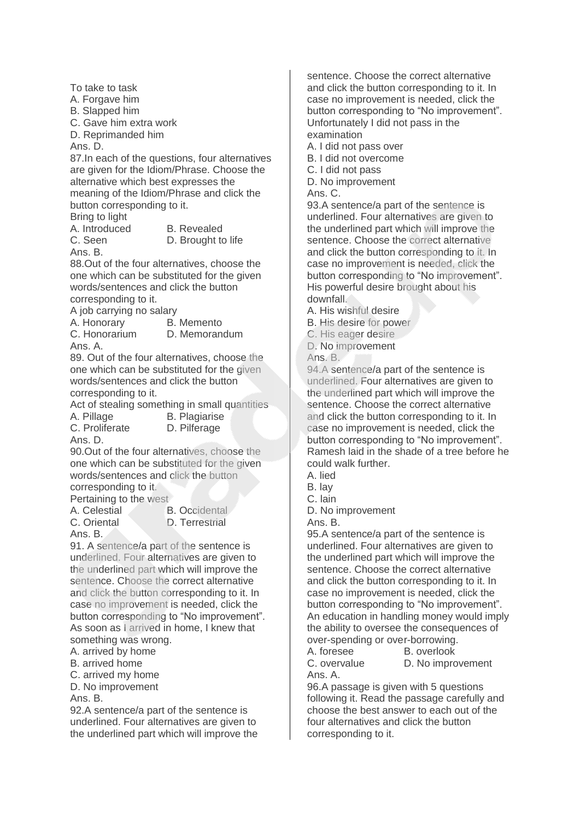To take to task A. Forgave him

B. Slapped him

C. Gave him extra work

D. Reprimanded him

Ans. D.

87.In each of the questions, four alternatives are given for the Idiom/Phrase. Choose the alternative which best expresses the meaning of the Idiom/Phrase and click the button corresponding to it.

Bring to light A. Introduced B. Revealed

Ans. B.

C. Seen D. Brought to life

88.Out of the four alternatives, choose the one which can be substituted for the given words/sentences and click the button corresponding to it.

A job carrying no salary

A. Honorary B. Memento

C. Honorarium D. Memorandum Ans. A.

89. Out of the four alternatives, choose the one which can be substituted for the given words/sentences and click the button corresponding to it.

Act of stealing something in small quantities A. Pillage B. Plagiarise

C. Proliferate D. Pilferage Ans. D.

90.Out of the four alternatives, choose the one which can be substituted for the given words/sentences and click the button corresponding to it.

Pertaining to the west

A. Celestial B. Occidental

C. Oriental D. Terrestrial

Ans. B.

91. A sentence/a part of the sentence is underlined. Four alternatives are given to the underlined part which will improve the sentence. Choose the correct alternative and click the button corresponding to it. In case no improvement is needed, click the button corresponding to "No improvement". As soon as I arrived in home, I knew that something was wrong.

A. arrived by home

B. arrived home

C. arrived my home

D. No improvement

Ans. B.

92.A sentence/a part of the sentence is underlined. Four alternatives are given to the underlined part which will improve the sentence. Choose the correct alternative and click the button corresponding to it. In case no improvement is needed, click the button corresponding to "No improvement". Unfortunately I did not pass in the examination

A. I did not pass over

B. I did not overcome

C. I did not pass

D. No improvement

Ans. C.

93.A sentence/a part of the sentence is underlined. Four alternatives are given to the underlined part which will improve the sentence. Choose the correct alternative and click the button corresponding to it. In case no improvement is needed, click the button corresponding to "No improvement". His powerful desire brought about his downfall.

A. His wishful desire

B. His desire for power

C. His eager desire

D. No improvement

Ans. B.

94.A sentence/a part of the sentence is underlined. Four alternatives are given to the underlined part which will improve the sentence. Choose the correct alternative and click the button corresponding to it. In case no improvement is needed, click the button corresponding to "No improvement". Ramesh laid in the shade of a tree before he could walk further.

A. lied

- B. lay
- C. lain
- D. No improvement

Ans. B.

95.A sentence/a part of the sentence is underlined. Four alternatives are given to the underlined part which will improve the sentence. Choose the correct alternative and click the button corresponding to it. In case no improvement is needed, click the button corresponding to "No improvement". An education in handling money would imply the ability to oversee the consequences of over-spending or over-borrowing.

A. foresee B. overlook C. overvalue D. No improvement Ans. A.

96.A passage is given with 5 questions following it. Read the passage carefully and choose the best answer to each out of the four alternatives and click the button corresponding to it.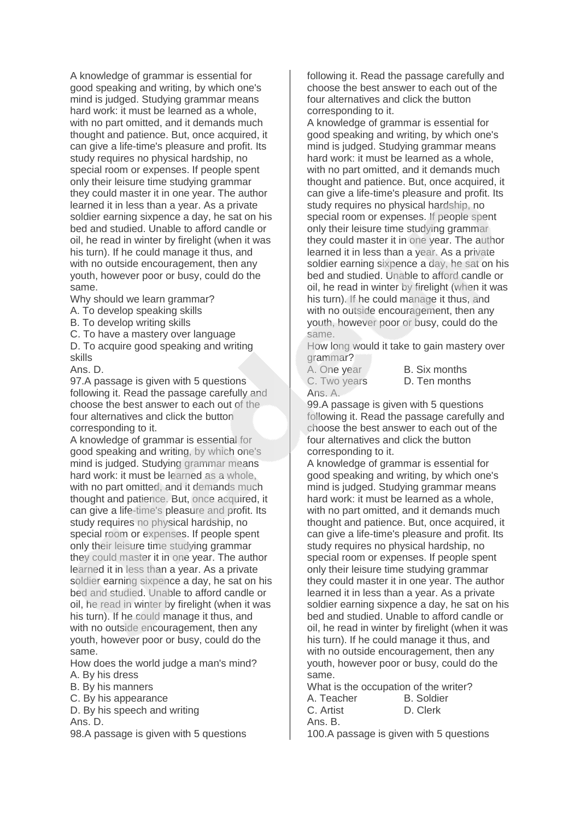A knowledge of grammar is essential for good speaking and writing, by which one's mind is judged. Studying grammar means hard work: it must be learned as a whole, with no part omitted, and it demands much thought and patience. But, once acquired, it can give a life-time's pleasure and profit. Its study requires no physical hardship, no special room or expenses. If people spent only their leisure time studying grammar they could master it in one year. The author learned it in less than a year. As a private soldier earning sixpence a day, he sat on his bed and studied. Unable to afford candle or oil, he read in winter by firelight (when it was his turn). If he could manage it thus, and with no outside encouragement, then any youth, however poor or busy, could do the same.

Why should we learn grammar?

- A. To develop speaking skills
- B. To develop writing skills
- C. To have a mastery over language

D. To acquire good speaking and writing skills

Ans. D.

97.A passage is given with 5 questions following it. Read the passage carefully and choose the best answer to each out of the four alternatives and click the button corresponding to it.

A knowledge of grammar is essential for good speaking and writing, by which one's mind is judged. Studying grammar means hard work: it must be learned as a whole, with no part omitted, and it demands much thought and patience. But, once acquired, it can give a life-time's pleasure and profit. Its study requires no physical hardship, no special room or expenses. If people spent only their leisure time studying grammar they could master it in one year. The author learned it in less than a year. As a private soldier earning sixpence a day, he sat on his bed and studied. Unable to afford candle or oil, he read in winter by firelight (when it was his turn). If he could manage it thus, and with no outside encouragement, then any youth, however poor or busy, could do the same.

How does the world judge a man's mind? A. By his dress

- B. By his manners
- C. By his appearance

D. By his speech and writing

Ans. D.

98.A passage is given with 5 questions

following it. Read the passage carefully and choose the best answer to each out of the four alternatives and click the button corresponding to it.

A knowledge of grammar is essential for good speaking and writing, by which one's mind is judged. Studying grammar means hard work: it must be learned as a whole, with no part omitted, and it demands much thought and patience. But, once acquired, it can give a life-time's pleasure and profit. Its study requires no physical hardship, no special room or expenses. If people spent only their leisure time studying grammar they could master it in one year. The author learned it in less than a year. As a private soldier earning sixpence a day, he sat on his bed and studied. Unable to afford candle or oil, he read in winter by firelight (when it was his turn). If he could manage it thus, and with no outside encouragement, then any youth, however poor or busy, could do the same.

How long would it take to gain mastery over grammar?

Ans. A.

A. One year B. Six months C. Two years D. Ten months

99.A passage is given with 5 questions following it. Read the passage carefully and choose the best answer to each out of the four alternatives and click the button corresponding to it.

A knowledge of grammar is essential for good speaking and writing, by which one's mind is judged. Studying grammar means hard work: it must be learned as a whole, with no part omitted, and it demands much thought and patience. But, once acquired, it can give a life-time's pleasure and profit. Its study requires no physical hardship, no special room or expenses. If people spent only their leisure time studying grammar they could master it in one year. The author learned it in less than a year. As a private soldier earning sixpence a day, he sat on his bed and studied. Unable to afford candle or oil, he read in winter by firelight (when it was his turn). If he could manage it thus, and with no outside encouragement, then any youth, however poor or busy, could do the same.

What is the occupation of the writer? A. Teacher B. Soldier C. Artist D. Clerk Ans. B.

100.A passage is given with 5 questions